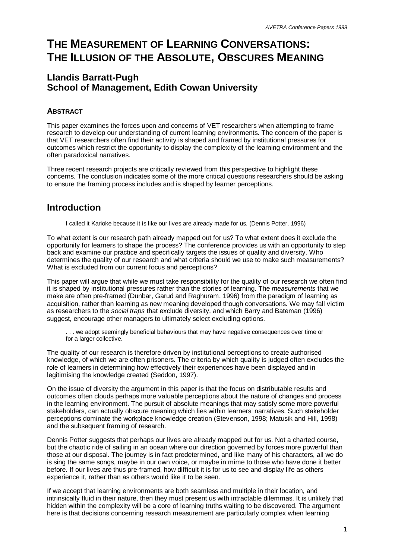# **THE MEASUREMENT OF LEARNING CONVERSATIONS: THE ILLUSION OF THE ABSOLUTE, OBSCURES MEANING**

### **Llandis Barratt-Pugh School of Management, Edith Cowan University**

#### **ABSTRACT**

This paper examines the forces upon and concerns of VET researchers when attempting to frame research to develop our understanding of current learning environments. The concern of the paper is that VET researchers often find their activity is shaped and framed by institutional pressures for outcomes which restrict the opportunity to display the complexity of the learning environment and the often paradoxical narratives.

Three recent research projects are critically reviewed from this perspective to highlight these concerns. The conclusion indicates some of the more critical questions researchers should be asking to ensure the framing process includes and is shaped by learner perceptions.

### **Introduction**

I called it Karioke because it is like our lives are already made for us. (Dennis Potter, 1996)

To what extent is our research path already mapped out for us? To what extent does it exclude the opportunity for learners to shape the process? The conference provides us with an opportunity to step back and examine our practice and specifically targets the issues of quality and diversity. Who determines the quality of our research and what criteria should we use to make such measurements? What is excluded from our current focus and perceptions?

This paper will argue that while we must take responsibility for the quality of our research we often find it is shaped by institutional pressures rather than the stories of learning. The *measurements* that we make are often pre-framed (Dunbar, Garud and Raghuram, 1996) from the paradigm of learning as acquisition, rather than learning as new meaning developed though conversations. We may fall victim as researchers to the *social traps* that exclude diversity, and which Barry and Bateman (1996) suggest, encourage other managers to ultimately select excluding options.

. . . we adopt seemingly beneficial behaviours that may have negative consequences over time or for a larger collective.

The quality of our research is therefore driven by institutional perceptions to create authorised knowledge, of which we are often prisoners. The criteria by which quality is judged often excludes the role of learners in determining how effectively their experiences have been displayed and in legitimising the knowledge created (Seddon, 1997).

On the issue of diversity the argument in this paper is that the focus on distributable results and outcomes often clouds perhaps more valuable perceptions about the nature of changes and process in the learning environment. The pursuit of absolute meanings that may satisfy some more powerful stakeholders, can actually obscure meaning which lies within learners' narratives. Such stakeholder perceptions dominate the workplace knowledge creation (Stevenson, 1998; Matusik and Hill, 1998) and the subsequent framing of research.

Dennis Potter suggests that perhaps our lives are already mapped out for us. Not a charted course, but the chaotic ride of sailing in an ocean where our direction governed by forces more powerful than those at our disposal. The journey is in fact predetermined, and like many of his characters, all we do is sing the same songs, maybe in our own voice, or maybe in mime to those who have done it better before. If our lives are thus pre-framed, how difficult it is for us to see and display life as others experience it, rather than as others would like it to be seen.

If we accept that learning environments are both seamless and multiple in their location, and intrinsically fluid in their nature, then they must present us with intractable dilemmas. It is unlikely that hidden within the complexity will be a core of learning truths waiting to be discovered. The argument here is that decisions concerning research measurement are particularly complex when learning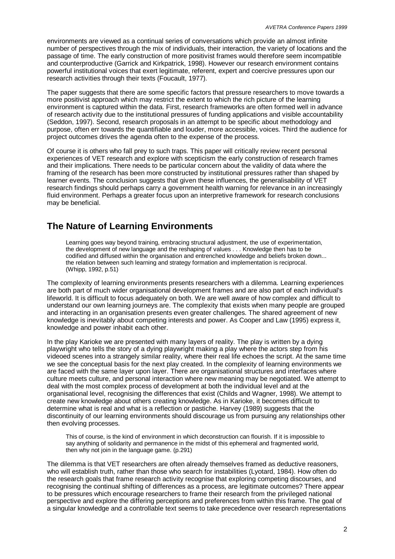environments are viewed as a continual series of conversations which provide an almost infinite number of perspectives through the mix of individuals, their interaction, the variety of locations and the passage of time. The early construction of more positivist frames would therefore seem incompatible and counterproductive (Garrick and Kirkpatrick, 1998). However our research environment contains powerful institutional voices that exert legitimate, referent, expert and coercive pressures upon our research activities through their texts (Foucault, 1977).

The paper suggests that there are some specific factors that pressure researchers to move towards a more positivist approach which may restrict the extent to which the rich picture of the learning environment is captured within the data. First, research frameworks are often formed well in advance of research activity due to the institutional pressures of funding applications and visible accountability (Seddon, 1997). Second, research proposals in an attempt to be specific about methodology and purpose, often err towards the quantifiable and louder, more accessible, voices. Third the audience for project outcomes drives the agenda often to the expense of the process.

Of course it is others who fall prey to such traps. This paper will critically review recent personal experiences of VET research and explore with scepticism the early construction of research frames and their implications. There needs to be particular concern about the validity of data where the framing of the research has been more constructed by institutional pressures rather than shaped by learner events. The conclusion suggests that given these influences, the generalisability of VET research findings should perhaps carry a government health warning for relevance in an increasingly fluid environment. Perhaps a greater focus upon an interpretive framework for research conclusions may be beneficial.

### **The Nature of Learning Environments**

Learning goes way beyond training, embracing structural adjustment, the use of experimentation, the development of new language and the reshaping of values . . . Knowledge then has to be codified and diffused within the organisation and entrenched knowledge and beliefs broken down... the relation between such learning and strategy formation and implementation is reciprocal. (Whipp, 1992, p.51)

The complexity of learning environments presents researchers with a dilemma. Learning experiences are both part of much wider organisational development frames and are also part of each individual's lifeworld. It is difficult to focus adequately on both. We are well aware of how complex and difficult to understand our own learning journeys are. The complexity that exists when many people are grouped and interacting in an organisation presents even greater challenges. The shared agreement of new knowledge is inevitably about competing interests and power. As Cooper and Law (1995) express it, knowledge and power inhabit each other.

In the play Karioke we are presented with many layers of reality. The play is written by a dying playwright who tells the story of a dying playwright making a play where the actors step from his videoed scenes into a strangely similar reality, where their real life echoes the script. At the same time we see the conceptual basis for the next play created. In the complexity of learning environments we are faced with the same layer upon layer. There are organisational structures and interfaces where culture meets culture, and personal interaction where new meaning may be negotiated. We attempt to deal with the most complex process of development at both the individual level and at the organisational level, recognising the differences that exist (Childs and Wagner, 1998). We attempt to create new knowledge about others creating knowledge. As in Karioke, it becomes difficult to determine what is real and what is a reflection or pastiche. Harvey (1989) suggests that the discontinuity of our learning environments should discourage us from pursuing any relationships other then evolving processes.

This of course, is the kind of environment in which deconstruction can flourish. If it is impossible to say anything of solidarity and permanence in the midst of this ephemeral and fragmented world, then why not join in the language game. (p.291)

The dilemma is that VET researchers are often already themselves framed as deductive reasoners, who will establish truth, rather than those who search for instabilities (Lyotard, 1984). How often do the research goals that frame research activity recognise that exploring competing discourses, and recognising the continual shifting of differences as a process, are legitimate outcomes? There appear to be pressures which encourage researchers to frame their research from the privileged national perspective and explore the differing perceptions and preferences from within this frame. The goal of a singular knowledge and a controllable text seems to take precedence over research representations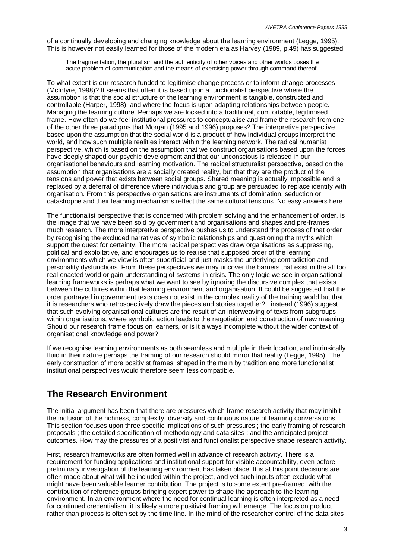of a continually developing and changing knowledge about the learning environment (Legge, 1995). This is however not easily learned for those of the modern era as Harvey (1989, p.49) has suggested.

The fragmentation, the pluralism and the authenticity of other voices and other worlds poses the acute problem of communication and the means of exercising power through command thereof.

To what extent is our research funded to legitimise change process or to inform change processes (McIntyre, 1998)? It seems that often it is based upon a functionalist perspective where the assumption is that the social structure of the learning environment is tangible, constructed and controllable (Harper, 1998), and where the focus is upon adapting relationships between people. Managing the learning culture. Perhaps we are locked into a traditional, comfortable, legitimised frame. How often do we feel institutional pressures to conceptualise and frame the research from one of the other three paradigms that Morgan (1995 and 1996) proposes? The interpretive perspective, based upon the assumption that the social world is a product of how individual groups interpret the world, and how such multiple realities interact within the learning network. The radical humanist perspective, which is based on the assumption that we construct organisations based upon the forces have deeply shaped our psychic development and that our unconscious is released in our organisational behaviours and learning motivation. The radical structuralist perspective, based on the assumption that organisations are a socially created reality, but that they are the product of the tensions and power that exists between social groups. Shared meaning is actually impossible and is replaced by a deferral of difference where individuals and group are persuaded to replace identity with organisation. From this perspective organisations are instruments of domination, seduction or catastrophe and their learning mechanisms reflect the same cultural tensions. No easy answers here.

The functionalist perspective that is concerned with problem solving and the enhancement of order, is the image that we have been sold by government and organisations and shapes and pre-frames much research. The more interpretive perspective pushes us to understand the process of that order by recognising the excluded narratives of symbolic relationships and questioning the myths which support the quest for certainty. The more radical perspectives draw organisations as suppressing, political and exploitative, and encourages us to realise that supposed order of the learning environments which we view is often superficial and just masks the underlying contradiction and personality dysfunctions. From these perspectives we may uncover the barriers that exist in the all too real enacted world or gain understanding of systems in crisis. The only logic we see in organisational learning frameworks is perhaps what we want to see by ignoring the discursive complex that exists between the cultures within that learning environment and organisation. It could be suggested that the order portrayed in government texts does not exist in the complex reality of the training world but that it is researchers who retrospectively draw the pieces and stories together? Linstead (1996) suggest that such evolving organisational cultures are the result of an interweaving of texts from subgroups within organisations, where symbolic action leads to the negotiation and construction of new meaning. Should our research frame focus on learners, or is it always incomplete without the wider context of organisational knowledge and power?

If we recognise learning environments as both seamless and multiple in their location, and intrinsically fluid in their nature perhaps the framing of our research should mirror that reality (Legge, 1995). The early construction of more positivist frames, shaped in the main by tradition and more functionalist institutional perspectives would therefore seem less compatible.

### **The Research Environment**

The initial argument has been that there are pressures which frame research activity that may inhibit the inclusion of the richness, complexity, diversity and continuous nature of learning conversations. This section focuses upon three specific implications of such pressures ; the early framing of research proposals ; the detailed specification of methodology and data sites ; and the anticipated project outcomes. How may the pressures of a positivist and functionalist perspective shape research activity.

First, research frameworks are often formed well in advance of research activity. There is a requirement for funding applications and institutional support for visible accountability, even before preliminary investigation of the learning environment has taken place. It is at this point decisions are often made about what will be included within the project, and yet such inputs often exclude what might have been valuable learner contribution. The project is to some extent pre-framed, with the contribution of reference groups bringing expert power to shape the approach to the learning environment. In an environment where the need for continual learning is often interpreted as a need for continued credentialism, it is likely a more positivist framing will emerge. The focus on product rather than process is often set by the time line. In the mind of the researcher control of the data sites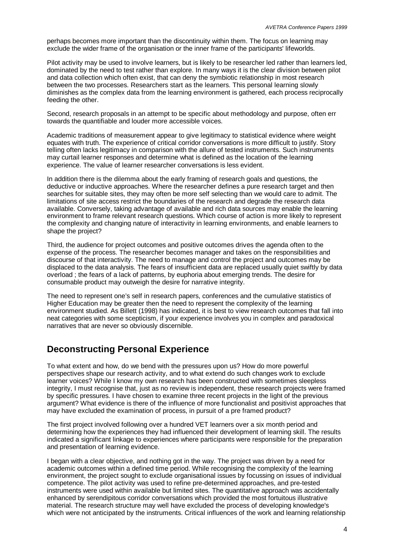perhaps becomes more important than the discontinuity within them. The focus on learning may exclude the wider frame of the organisation or the inner frame of the participants' lifeworlds.

Pilot activity may be used to involve learners, but is likely to be researcher led rather than learners led, dominated by the need to test rather than explore. In many ways it is the clear division between pilot and data collection which often exist, that can deny the symbiotic relationship in most research between the two processes. Researchers start as the learners. This personal learning slowly diminishes as the complex data from the learning environment is gathered, each process reciprocally feeding the other.

Second, research proposals in an attempt to be specific about methodology and purpose, often err towards the quantifiable and louder more accessible voices.

Academic traditions of measurement appear to give legitimacy to statistical evidence where weight equates with truth. The experience of critical corridor conversations is more difficult to justify. Story telling often lacks legitimacy in comparison with the allure of tested instruments. Such instruments may curtail learner responses and determine what is defined as the location of the learning experience. The value of learner researcher conversations is less evident.

In addition there is the dilemma about the early framing of research goals and questions, the deductive or inductive approaches. Where the researcher defines a pure research target and then searches for suitable sites, they may often be more self selecting than we would care to admit. The limitations of site access restrict the boundaries of the research and degrade the research data available. Conversely, taking advantage of available and rich data sources may enable the learning environment to frame relevant research questions. Which course of action is more likely to represent the complexity and changing nature of interactivity in learning environments, and enable learners to shape the project?

Third, the audience for project outcomes and positive outcomes drives the agenda often to the expense of the process. The researcher becomes manager and takes on the responsibilities and discourse of that interactivity. The need to manage and control the project and outcomes may be displaced to the data analysis. The fears of insufficient data are replaced usually quiet swiftly by data overload ; the fears of a lack of patterns, by euphoria about emerging trends. The desire for consumable product may outweigh the desire for narrative integrity.

The need to represent one's self in research papers, conferences and the cumulative statistics of Higher Education may be greater then the need to represent the complexity of the learning environment studied. As Billett (1998) has indicated, it is best to view research outcomes that fall into neat categories with some scepticism, if your experience involves you in complex and paradoxical narratives that are never so obviously discernible.

### **Deconstructing Personal Experience**

To what extent and how, do we bend with the pressures upon us? How do more powerful perspectives shape our research activity, and to what extend do such changes work to exclude learner voices? While I know my own research has been constructed with sometimes sleepless integrity, I must recognise that, just as no review is independent, these research projects were framed by specific pressures. I have chosen to examine three recent projects in the light of the previous argument? What evidence is there of the influence of more functionalist and positivist approaches that may have excluded the examination of process, in pursuit of a pre framed product?

The first project involved following over a hundred VET learners over a six month period and determining how the experiences they had influenced their development of learning skill. The results indicated a significant linkage to experiences where participants were responsible for the preparation and presentation of learning evidence.

I began with a clear objective, and nothing got in the way. The project was driven by a need for academic outcomes within a defined time period. While recognising the complexity of the learning environment, the project sought to exclude organisational issues by focussing on issues of individual competence. The pilot activity was used to refine pre-determined approaches, and pre-tested instruments were used within available but limited sites. The quantitative approach was accidentally enhanced by serendipitous corridor conversations which provided the most fortuitous illustrative material. The research structure may well have excluded the process of developing knowledge's which were not anticipated by the instruments. Critical influences of the work and learning relationship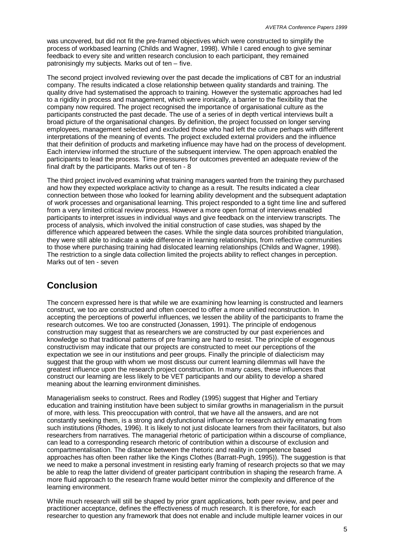was uncovered, but did not fit the pre-framed objectives which were constructed to simplify the process of workbased learning (Childs and Wagner, 1998). While I cared enough to give seminar feedback to every site and written research conclusion to each participant, they remained patronisingly my subjects. Marks out of ten – five.

The second project involved reviewing over the past decade the implications of CBT for an industrial company. The results indicated a close relationship between quality standards and training. The quality drive had systematised the approach to training. However the systematic approaches had led to a rigidity in process and management, which were ironically, a barrier to the flexibility that the company now required. The project recognised the importance of organisational culture as the participants constructed the past decade. The use of a series of in depth vertical interviews built a broad picture of the organisational changes. By definition, the project focussed on longer serving employees, management selected and excluded those who had left the culture perhaps with different interpretations of the meaning of events. The project excluded external providers and the influence that their definition of products and marketing influence may have had on the process of development. Each interview informed the structure of the subsequent interview. The open approach enabled the participants to lead the process. Time pressures for outcomes prevented an adequate review of the final draft by the participants. Marks out of ten - 8

The third project involved examining what training managers wanted from the training they purchased and how they expected workplace activity to change as a result. The results indicated a clear connection between those who looked for learning ability development and the subsequent adaptation of work processes and organisational learning. This project responded to a tight time line and suffered from a very limited critical review process. However a more open format of interviews enabled participants to interpret issues in individual ways and give feedback on the interview transcripts. The process of analysis, which involved the initial construction of case studies, was shaped by the difference which appeared between the cases. While the single data sources prohibited triangulation, they were still able to indicate a wide difference in learning relationships, from reflective communities to those where purchasing training had dislocated learning relationships (Childs and Wagner, 1998). The restriction to a single data collection limited the projects ability to reflect changes in perception. Marks out of ten - seven

## **Conclusion**

The concern expressed here is that while we are examining how learning is constructed and learners construct, we too are constructed and often coerced to offer a more unified reconstruction. In accepting the perceptions of powerful influences, we lessen the ability of the participants to frame the research outcomes. We too are constructed (Jonassen, 1991). The principle of endogenous construction may suggest that as researchers we are constructed by our past experiences and knowledge so that traditional patterns of pre framing are hard to resist. The principle of exogenous constructivism may indicate that our projects are constructed to meet our perceptions of the expectation we see in our institutions and peer groups. Finally the principle of dialecticism may suggest that the group with whom we most discuss our current learning dilemmas will have the greatest influence upon the research project construction. In many cases, these influences that construct our learning are less likely to be VET participants and our ability to develop a shared meaning about the learning environment diminishes.

Managerialism seeks to construct. Rees and Rodley (1995) suggest that Higher and Tertiary education and training institution have been subject to similar growths in managerialism in the pursuit of more, with less. This preoccupation with control, that we have all the answers, and are not constantly seeking them, is a strong and dysfunctional influence for research activity emanating from such institutions (Rhodes, 1996). It is likely to not just dislocate learners from their facilitators, but also researchers from narratives. The managerial rhetoric of participation within a discourse of compliance, can lead to a corresponding research rhetoric of contribution within a discourse of exclusion and compartmentalisation. The distance between the rhetoric and reality in competence based approaches has often been rather like the Kings Clothes (Barratt-Pugh, 1995)). The suggestion is that we need to make a personal investment in resisting early framing of research projects so that we may be able to reap the latter dividend of greater participant contribution in shaping the research frame. A more fluid approach to the research frame would better mirror the complexity and difference of the learning environment.

While much research will still be shaped by prior grant applications, both peer review, and peer and practitioner acceptance, defines the effectiveness of much research. It is therefore, for each researcher to question any framework that does not enable and include multiple learner voices in our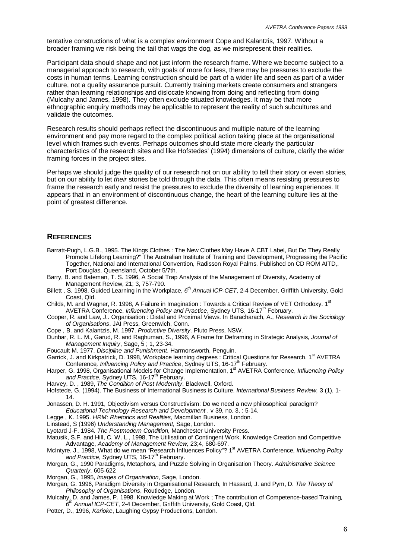tentative constructions of what is a complex environment Cope and Kalantzis, 1997. Without a broader framing we risk being the tail that wags the dog, as we misrepresent their realities.

Participant data should shape and not just inform the research frame. Where we become subject to a managerial approach to research, with goals of more for less, there may be pressures to exclude the costs in human terms. Learning construction should be part of a wider life and seen as part of a wider culture, not a quality assurance pursuit. Currently training markets create consumers and strangers rather than learning relationships and dislocate knowing from doing and reflecting from doing (Mulcahy and James, 1998). They often exclude situated knowledges. It may be that more ethnographic enquiry methods may be applicable to represent the reality of such subcultures and validate the outcomes.

Research results should perhaps reflect the discontinuous and multiple nature of the learning environment and pay more regard to the complex political action taking place at the organisational level which frames such events. Perhaps outcomes should state more clearly the particular characteristics of the research sites and like Hofstedes' (1994) dimensions of culture, clarify the wider framing forces in the project sites.

Perhaps we should judge the quality of our research not on our ability to tell their story or even stories, but on our ability to let *their* stories be told through the data. This often means resisting pressures to frame the research early and resist the pressures to exclude the diversity of learning experiences. It appears that in an environment of discontinuous change, the heart of the learning culture lies at the point of greatest difference.

#### **REFERENCES**

- Barratt-Pugh, L.G.B., 1995. The Kings Clothes : The New Clothes May Have A CBT Label, But Do They Really Promote Lifelong Learning?" The Australian Institute of Training and Development, Progressing the Pacific Together, National and International Convention, Radisson Royal Palms. Published on CD ROM AITD,. Port Douglas, Queensland, October 5/7th.
- Barry, B. and Bateman, T. S. 1996, A Social Trap Analysis of the Management of Diversity, Academy of Management Review, 21; 3, 757-790.
- Billett, S. 1998, Guided Learning in the Workplace, 6<sup>th</sup> Annual ICP-CET, 2-4 December, Griffith University, Gold Coast, Qld.
- Childs, M. and Wagner, R. 1998, A Failure in Imagination : Towards a Critical Review of VET Orthodoxy, 1<sup>st</sup> AVETRA Conference, *Influencing Policy and Practice*, Sydney UTS, 16-17<sup>th</sup> February.
- Cooper, R. and Law, J.. Organisation : Distal and Proximal Views. In Baracharach, A., *Research in the Sociology of Organisations*, JAI Press, Greenwich, Conn.
- Cope , B. and Kalantzis, M. 1997. *Productive Diversity*. Pluto Press, NSW.

Dunbar, R. L. M., Garud, R. and Raghuman, S., 1996, A Frame for Deframing in Strategic Analysis, *Journal of Management Inquiry*, Sage, 5 ; 1, 23-34.

- Foucault M. 1977. *Discipline and Punishment*. Harmonsworth, Penguin.
- Garrick, J. and Kirkpatrick, D. 1998, Workplace learning degrees : Critical Questions for Research. 1<sup>st</sup> AVETRA Conference, *Influencing Policy and Practice*, Sydney UTS, 16-17<sup>th</sup> February.
- Harper, G. 1998, Organisational Models for Change Implementation, 1<sup>st</sup> AVETRA Conference, *Influencing Policy* and Practice, Sydney UTS, 16-17<sup>th</sup> February.
- Harvey, D. , 1989, *The Condition of Post Modernity*, Blackwell, Oxford.
- Hofstede, G. (1994). The Business of International Business is Culture. *International Business Review,* 3 (1), 1- 14.
- Jonassen, D. H. 1991, Objectivism versus Constructivism: Do we need a new philosophical paradigm? *Educational Technology Research and Development* . v 39, no. 3, : 5-14.
- Legge , K. 1995. *HRM: Rhetorics and Realities*, Macmillan Business, London.
- Linstead, S (1996) *Understanding Management*, Sage, London.
- Lyotard J-F. 1984*. The Postmodern Condition,* Manchester University Press.
- Matusik, S.F. and Hill, C. W. L., 1998, The Utilisation of Contingent Work, Knowledge Creation and Competitive Advantage, *Academy of Management Review,* 23;4, 680-697.
- McIntyre, J., 1998, What do we mean "Research Influences Policy"? 1st AVETRA Conference, *Influencing Policy* and Practice, Sydney UTS, 16-17<sup>th</sup> February.
- Morgan, G., 1990 Paradigms, Metaphors, and Puzzle Solving in Organisation Theory. *Administrative Science Quarterly*. 605-622
- Morgan, G., 1995, *Images of Organisation*, Sage, London.
- Morgan, G. 1996, Paradigm Diversity in Organisational Research, In Hassard, J. and Pym, D. *The Theory of Philosophy of Organisations*, Routledge, London.
- Mulcahy, D. and James, P. 1998. Knowledge Making at Work ; The contribution of Competence-based Training*, 6 th Annual ICP-CET*, 2-4 December, Griffith University, Gold Coast, Qld.
- Potter, D., 1996, *Karioke*, Laughing Gypsy Productions, London.